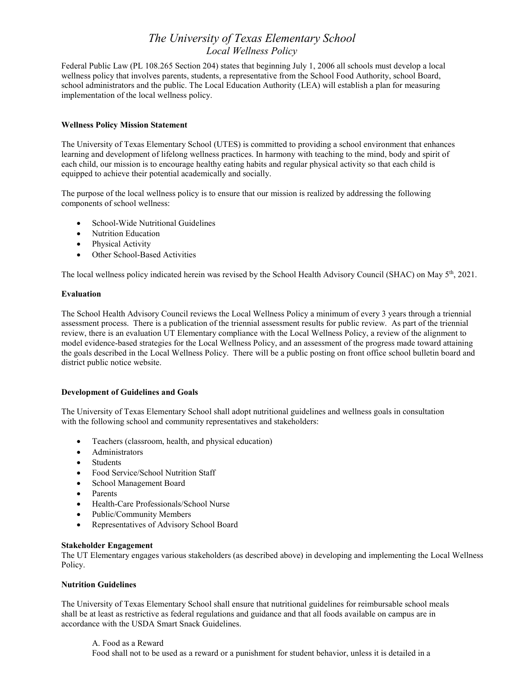Federal Public Law (PL 108.265 Section 204) states that beginning July 1, 2006 all schools must develop a local wellness policy that involves parents, students, a representative from the School Food Authority, school Board, school administrators and the public. The Local Education Authority (LEA) will establish a plan for measuring implementation of the local wellness policy.

# **Wellness Policy Mission Statement**

The University of Texas Elementary School (UTES) is committed to providing a school environment that enhances learning and development of lifelong wellness practices. In harmony with teaching to the mind, body and spirit of each child, our mission is to encourage healthy eating habits and regular physical activity so that each child is equipped to achieve their potential academically and socially.

The purpose of the local wellness policy is to ensure that our mission is realized by addressing the following components of school wellness:

- School-Wide Nutritional Guidelines
- Nutrition Education
- Physical Activity
- Other School-Based Activities

The local wellness policy indicated herein was revised by the School Health Advisory Council (SHAC) on May  $5<sup>th</sup>$ , 2021.

## **Evaluation**

The School Health Advisory Council reviews the Local Wellness Policy a minimum of every 3 years through a triennial assessment process. There is a publication of the triennial assessment results for public review. As part of the triennial review, there is an evaluation UT Elementary compliance with the Local Wellness Policy, a review of the alignment to model evidence-based strategies for the Local Wellness Policy, and an assessment of the progress made toward attaining the goals described in the Local Wellness Policy. There will be a public posting on front office school bulletin board and district public notice website.

## **Development of Guidelines and Goals**

The University of Texas Elementary School shall adopt nutritional guidelines and wellness goals in consultation with the following school and community representatives and stakeholders:

- Teachers (classroom, health, and physical education)
- Administrators
- Students
- Food Service/School Nutrition Staff
- School Management Board
- Parents
- Health-Care Professionals/School Nurse
- Public/Community Members
- Representatives of Advisory School Board

## **Stakeholder Engagement**

The UT Elementary engages various stakeholders (as described above) in developing and implementing the Local Wellness Policy.

# **Nutrition Guidelines**

The University of Texas Elementary School shall ensure that nutritional guidelines for reimbursable school meals shall be at least as restrictive as federal regulations and guidance and that all foods available on campus are in accordance with the USDA Smart Snack Guidelines.

A. Food as a Reward Food shall not to be used as a reward or a punishment for student behavior, unless it is detailed in a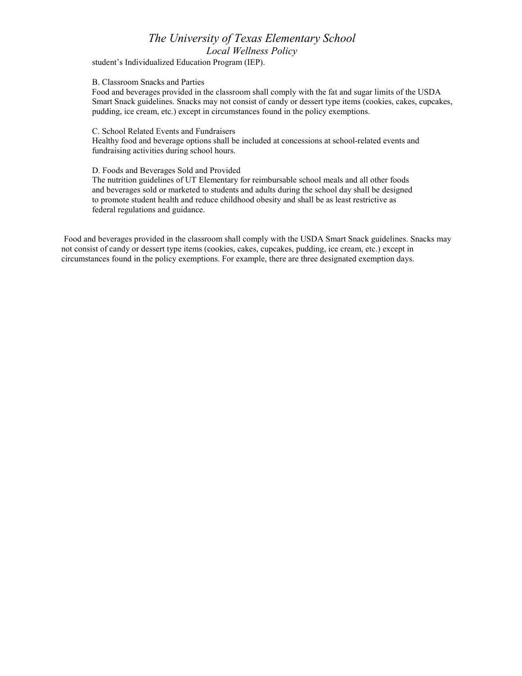student's Individualized Education Program (IEP).

#### B. Classroom Snacks and Parties

Food and beverages provided in the classroom shall comply with the fat and sugar limits of the USDA Smart Snack guidelines. Snacks may not consist of candy or dessert type items (cookies, cakes, cupcakes, pudding, ice cream, etc.) except in circumstances found in the policy exemptions.

#### C. School Related Events and Fundraisers

Healthy food and beverage options shall be included at concessions at school-related events and fundraising activities during school hours.

#### D. Foods and Beverages Sold and Provided

The nutrition guidelines of UT Elementary for reimbursable school meals and all other foods and beverages sold or marketed to students and adults during the school day shall be designed to promote student health and reduce childhood obesity and shall be as least restrictive as federal regulations and guidance.

Food and beverages provided in the classroom shall comply with the USDA Smart Snack guidelines. Snacks may not consist of candy or dessert type items (cookies, cakes, cupcakes, pudding, ice cream, etc.) except in circumstances found in the policy exemptions. For example, there are three designated exemption days.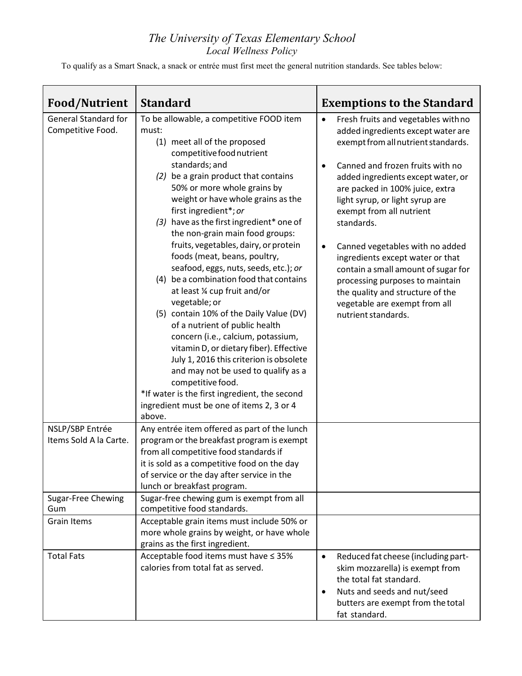To qualify as a Smart Snack, a snack or entrée must first meet the general nutrition standards. See tables below:

| <b>Food/Nutrient</b>                             | <b>Standard</b>                                                                                                                                                                                                                                                                                                                                                                                                                   | <b>Exemptions to the Standard</b>                                                                                                                                                                                                                                                                                                                                                                     |
|--------------------------------------------------|-----------------------------------------------------------------------------------------------------------------------------------------------------------------------------------------------------------------------------------------------------------------------------------------------------------------------------------------------------------------------------------------------------------------------------------|-------------------------------------------------------------------------------------------------------------------------------------------------------------------------------------------------------------------------------------------------------------------------------------------------------------------------------------------------------------------------------------------------------|
| <b>General Standard for</b><br>Competitive Food. | To be allowable, a competitive FOOD item<br>must:<br>(1) meet all of the proposed<br>competitive food nutrient                                                                                                                                                                                                                                                                                                                    | Fresh fruits and vegetables with no<br>$\bullet$<br>added ingredients except water are<br>exempt from all nutrient standards.                                                                                                                                                                                                                                                                         |
|                                                  | standards; and<br>(2) be a grain product that contains<br>50% or more whole grains by<br>weight or have whole grains as the<br>first ingredient*; or<br>(3) have as the first ingredient* one of<br>the non-grain main food groups:<br>fruits, vegetables, dairy, or protein<br>foods (meat, beans, poultry,<br>seafood, eggs, nuts, seeds, etc.); or<br>(4) be a combination food that contains<br>at least 1/4 cup fruit and/or | Canned and frozen fruits with no<br>$\bullet$<br>added ingredients except water, or<br>are packed in 100% juice, extra<br>light syrup, or light syrup are<br>exempt from all nutrient<br>standards.<br>Canned vegetables with no added<br>$\bullet$<br>ingredients except water or that<br>contain a small amount of sugar for<br>processing purposes to maintain<br>the quality and structure of the |
|                                                  | vegetable; or<br>(5) contain 10% of the Daily Value (DV)<br>of a nutrient of public health<br>concern (i.e., calcium, potassium,<br>vitamin D, or dietary fiber). Effective<br>July 1, 2016 this criterion is obsolete<br>and may not be used to qualify as a<br>competitive food.                                                                                                                                                | vegetable are exempt from all<br>nutrient standards.                                                                                                                                                                                                                                                                                                                                                  |
|                                                  | *If water is the first ingredient, the second<br>ingredient must be one of items 2, 3 or 4<br>above.                                                                                                                                                                                                                                                                                                                              |                                                                                                                                                                                                                                                                                                                                                                                                       |
| NSLP/SBP Entrée<br>Items Sold A la Carte.        | Any entrée item offered as part of the lunch<br>program or the breakfast program is exempt<br>from all competitive food standards if<br>it is sold as a competitive food on the day<br>of service or the day after service in the<br>lunch or breakfast program.                                                                                                                                                                  |                                                                                                                                                                                                                                                                                                                                                                                                       |
| <b>Sugar-Free Chewing</b><br>Gum                 | Sugar-free chewing gum is exempt from all<br>competitive food standards.                                                                                                                                                                                                                                                                                                                                                          |                                                                                                                                                                                                                                                                                                                                                                                                       |
| Grain Items                                      | Acceptable grain items must include 50% or<br>more whole grains by weight, or have whole<br>grains as the first ingredient.                                                                                                                                                                                                                                                                                                       |                                                                                                                                                                                                                                                                                                                                                                                                       |
| <b>Total Fats</b>                                | Acceptable food items must have ≤ 35%<br>calories from total fat as served.                                                                                                                                                                                                                                                                                                                                                       | Reduced fat cheese (including part-<br>$\bullet$<br>skim mozzarella) is exempt from<br>the total fat standard.<br>Nuts and seeds and nut/seed<br>$\bullet$<br>butters are exempt from the total<br>fat standard.                                                                                                                                                                                      |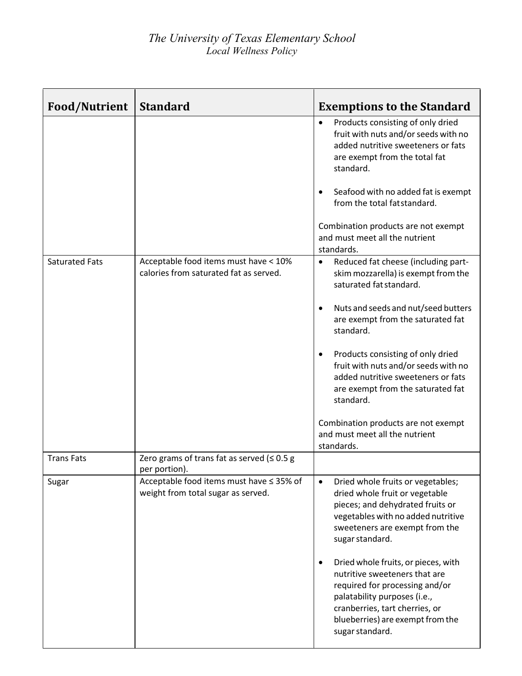| <b>Food/Nutrient</b>  | <b>Standard</b>                                                                 | <b>Exemptions to the Standard</b>                                                                                                                                                                                                                                                                                                                                                                                                                               |
|-----------------------|---------------------------------------------------------------------------------|-----------------------------------------------------------------------------------------------------------------------------------------------------------------------------------------------------------------------------------------------------------------------------------------------------------------------------------------------------------------------------------------------------------------------------------------------------------------|
|                       |                                                                                 | Products consisting of only dried<br>$\bullet$<br>fruit with nuts and/or seeds with no<br>added nutritive sweeteners or fats<br>are exempt from the total fat<br>standard.                                                                                                                                                                                                                                                                                      |
|                       |                                                                                 | Seafood with no added fat is exempt<br>$\bullet$<br>from the total fat standard.                                                                                                                                                                                                                                                                                                                                                                                |
|                       |                                                                                 | Combination products are not exempt<br>and must meet all the nutrient<br>standards.                                                                                                                                                                                                                                                                                                                                                                             |
| <b>Saturated Fats</b> | Acceptable food items must have < 10%<br>calories from saturated fat as served. | Reduced fat cheese (including part-<br>$\bullet$<br>skim mozzarella) is exempt from the<br>saturated fat standard.                                                                                                                                                                                                                                                                                                                                              |
|                       |                                                                                 | Nuts and seeds and nut/seed butters<br>$\bullet$<br>are exempt from the saturated fat<br>standard.                                                                                                                                                                                                                                                                                                                                                              |
|                       |                                                                                 | Products consisting of only dried<br>$\bullet$<br>fruit with nuts and/or seeds with no<br>added nutritive sweeteners or fats<br>are exempt from the saturated fat<br>standard.                                                                                                                                                                                                                                                                                  |
|                       |                                                                                 | Combination products are not exempt<br>and must meet all the nutrient<br>standards.                                                                                                                                                                                                                                                                                                                                                                             |
| <b>Trans Fats</b>     | Zero grams of trans fat as served ( $\leq 0.5$ g<br>per portion).               |                                                                                                                                                                                                                                                                                                                                                                                                                                                                 |
| Sugar                 | Acceptable food items must have ≤ 35% of<br>weight from total sugar as served.  | Dried whole fruits or vegetables;<br>$\bullet$<br>dried whole fruit or vegetable<br>pieces; and dehydrated fruits or<br>vegetables with no added nutritive<br>sweeteners are exempt from the<br>sugar standard.<br>Dried whole fruits, or pieces, with<br>$\bullet$<br>nutritive sweeteners that are<br>required for processing and/or<br>palatability purposes (i.e.,<br>cranberries, tart cherries, or<br>blueberries) are exempt from the<br>sugar standard. |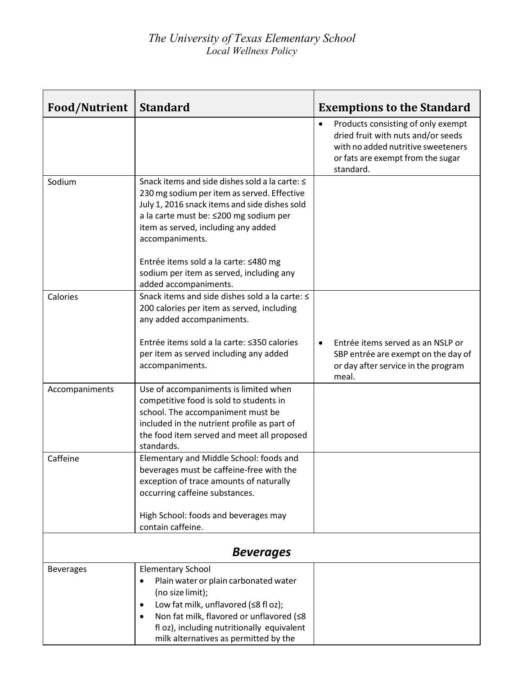| <b>Food/Nutrient</b> | <b>Standard</b>                                                                                                                                                                                                                                                                                         | <b>Exemptions to the Standard</b>                                                                                                                                             |  |  |
|----------------------|---------------------------------------------------------------------------------------------------------------------------------------------------------------------------------------------------------------------------------------------------------------------------------------------------------|-------------------------------------------------------------------------------------------------------------------------------------------------------------------------------|--|--|
|                      |                                                                                                                                                                                                                                                                                                         | Products consisting of only exempt<br>$\bullet$<br>dried fruit with nuts and/or seeds<br>with no added nutritive sweeteners<br>or fats are exempt from the sugar<br>standard. |  |  |
| Sodium               | Snack items and side dishes sold a la carte: ≤<br>230 mg sodium per item as served. Effective<br>July 1, 2016 snack items and side dishes sold<br>a la carte must be: ≤200 mg sodium per<br>item as served, including any added<br>accompaniments.<br>Entrée items sold a la carte: ≤480 mg             |                                                                                                                                                                               |  |  |
|                      | sodium per item as served, including any<br>added accompaniments.                                                                                                                                                                                                                                       |                                                                                                                                                                               |  |  |
| Calories             | Snack items and side dishes sold a la carte: ≤<br>200 calories per item as served, including<br>any added accompaniments.                                                                                                                                                                               |                                                                                                                                                                               |  |  |
|                      | Entrée items sold a la carte: ≤350 calories<br>per item as served including any added<br>accompaniments.                                                                                                                                                                                                | Entrée items served as an NSLP or<br>$\bullet$<br>SBP entrée are exempt on the day of<br>or day after service in the program<br>meal.                                         |  |  |
| Accompaniments       | Use of accompaniments is limited when<br>competitive food is sold to students in<br>school. The accompaniment must be<br>included in the nutrient profile as part of<br>the food item served and meet all proposed<br>standards.                                                                        |                                                                                                                                                                               |  |  |
| Caffeine             | Elementary and Middle School: foods and<br>beverages must be caffeine-free with the<br>exception of trace amounts of naturally<br>occurring caffeine substances.                                                                                                                                        |                                                                                                                                                                               |  |  |
|                      | High School: foods and beverages may<br>contain caffeine.                                                                                                                                                                                                                                               |                                                                                                                                                                               |  |  |
| <b>Beverages</b>     |                                                                                                                                                                                                                                                                                                         |                                                                                                                                                                               |  |  |
| <b>Beverages</b>     | <b>Elementary School</b><br>Plain water or plain carbonated water<br>$\bullet$<br>(no size limit);<br>Low fat milk, unflavored (≤8 fl oz);<br>$\bullet$<br>Non fat milk, flavored or unflavored (≤8<br>$\bullet$<br>fl oz), including nutritionally equivalent<br>milk alternatives as permitted by the |                                                                                                                                                                               |  |  |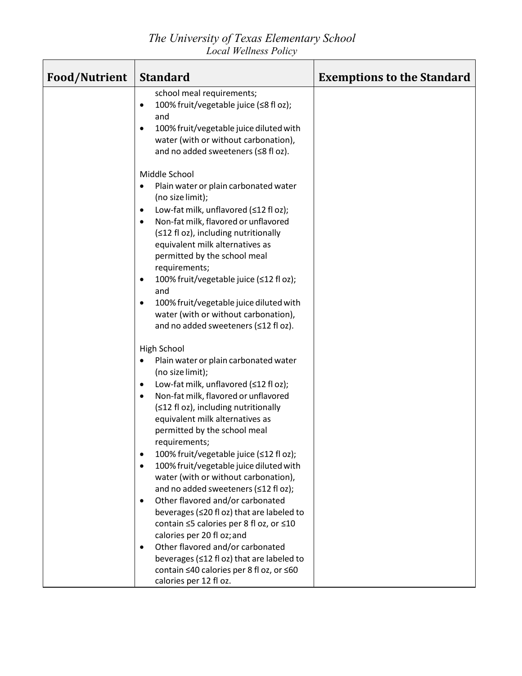*The University of Texas Elementary School Local Wellness Policy*

| <b>Food/Nutrient</b> | <b>Standard</b>                                                                                                                                                                                                                                                                                                                                                                                                                                                                                                                                                                                              | <b>Exemptions to the Standard</b> |
|----------------------|--------------------------------------------------------------------------------------------------------------------------------------------------------------------------------------------------------------------------------------------------------------------------------------------------------------------------------------------------------------------------------------------------------------------------------------------------------------------------------------------------------------------------------------------------------------------------------------------------------------|-----------------------------------|
|                      | school meal requirements;<br>100% fruit/vegetable juice (≤8 fl oz);<br>$\bullet$<br>and<br>100% fruit/vegetable juice diluted with<br>$\bullet$<br>water (with or without carbonation),<br>and no added sweeteners (≤8 fl oz).                                                                                                                                                                                                                                                                                                                                                                               |                                   |
|                      | Middle School<br>Plain water or plain carbonated water<br>٠<br>(no size limit);<br>Low-fat milk, unflavored (≤12 fl oz);<br>٠<br>Non-fat milk, flavored or unflavored<br>$\bullet$<br>(≤12 fl oz), including nutritionally<br>equivalent milk alternatives as<br>permitted by the school meal<br>requirements;<br>100% fruit/vegetable juice (≤12 fl oz);<br>٠<br>and<br>100% fruit/vegetable juice diluted with<br>water (with or without carbonation),<br>and no added sweeteners (≤12 fl oz).                                                                                                             |                                   |
|                      | <b>High School</b><br>Plain water or plain carbonated water<br>(no size limit);<br>Low-fat milk, unflavored (≤12 fl oz);<br>٠<br>Non-fat milk, flavored or unflavored<br>$\bullet$<br>(≤12 fl oz), including nutritionally<br>equivalent milk alternatives as<br>permitted by the school meal<br>requirements;<br>100% fruit/vegetable juice (≤12 fl oz);<br>$\bullet$<br>100% fruit/vegetable juice diluted with<br>$\bullet$<br>water (with or without carbonation),<br>and no added sweeteners (≤12 fl oz);<br>Other flavored and/or carbonated<br>$\bullet$<br>beverages (≤20 fl oz) that are labeled to |                                   |
|                      | contain ≤5 calories per 8 fl oz, or ≤10<br>calories per 20 fl oz; and<br>Other flavored and/or carbonated<br>$\bullet$<br>beverages (≤12 fl oz) that are labeled to<br>contain ≤40 calories per 8 fl oz, or ≤60<br>calories per 12 fl oz.                                                                                                                                                                                                                                                                                                                                                                    |                                   |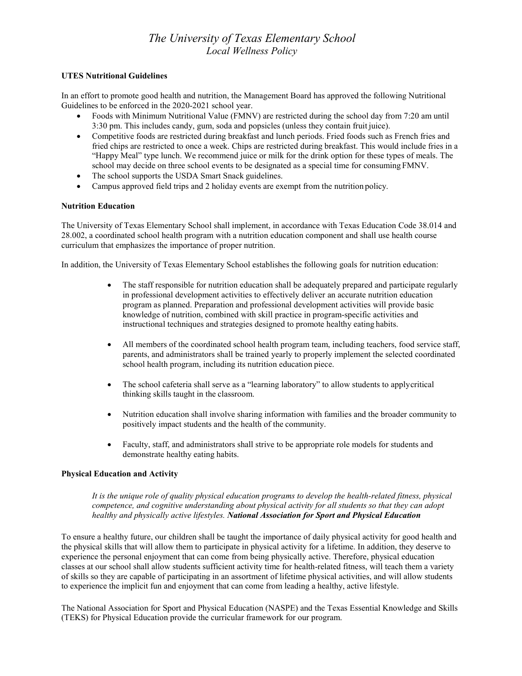## **UTES Nutritional Guidelines**

In an effort to promote good health and nutrition, the Management Board has approved the following Nutritional Guidelines to be enforced in the 2020-2021 school year.

- Foods with Minimum Nutritional Value (FMNV) are restricted during the school day from 7:20 am until 3:30 pm. This includes candy, gum, soda and popsicles (unless they contain fruit juice).
- Competitive foods are restricted during breakfast and lunch periods. Fried foods such as French fries and fried chips are restricted to once a week. Chips are restricted during breakfast. This would include fries in a "Happy Meal" type lunch. We recommend juice or milk for the drink option for these types of meals. The school may decide on three school events to be designated as a special time for consuming FMNV.
- The school supports the USDA Smart Snack guidelines.
- Campus approved field trips and 2 holiday events are exempt from the nutrition policy.

#### **Nutrition Education**

The University of Texas Elementary School shall implement, in accordance with Texas Education Code 38.014 and 28.002, a coordinated school health program with a nutrition education component and shall use health course curriculum that emphasizes the importance of proper nutrition.

In addition, the University of Texas Elementary School establishes the following goals for nutrition education:

- The staff responsible for nutrition education shall be adequately prepared and participate regularly in professional development activities to effectively deliver an accurate nutrition education program as planned. Preparation and professional development activities will provide basic knowledge of nutrition, combined with skill practice in program-specific activities and instructional techniques and strategies designed to promote healthy eating habits.
- All members of the coordinated school health program team, including teachers, food service staff, parents, and administrators shall be trained yearly to properly implement the selected coordinated school health program, including its nutrition education piece.
- The school cafeteria shall serve as a "learning laboratory" to allow students to applycritical thinking skills taught in the classroom.
- Nutrition education shall involve sharing information with families and the broader community to positively impact students and the health of the community.
- Faculty, staff, and administrators shall strive to be appropriate role models for students and demonstrate healthy eating habits.

## **Physical Education and Activity**

*It is the unique role of quality physical education programs to develop the health-related fitness, physical competence, and cognitive understanding about physical activity for all students so that they can adopt healthy and physically active lifestyles. National Association for Sport and Physical Education*

To ensure a healthy future, our children shall be taught the importance of daily physical activity for good health and the physical skills that will allow them to participate in physical activity for a lifetime. In addition, they deserve to experience the personal enjoyment that can come from being physically active. Therefore, physical education classes at our school shall allow students sufficient activity time for health-related fitness, will teach them a variety of skills so they are capable of participating in an assortment of lifetime physical activities, and will allow students to experience the implicit fun and enjoyment that can come from leading a healthy, active lifestyle.

The National Association for Sport and Physical Education (NASPE) and the Texas Essential Knowledge and Skills (TEKS) for Physical Education provide the curricular framework for our program.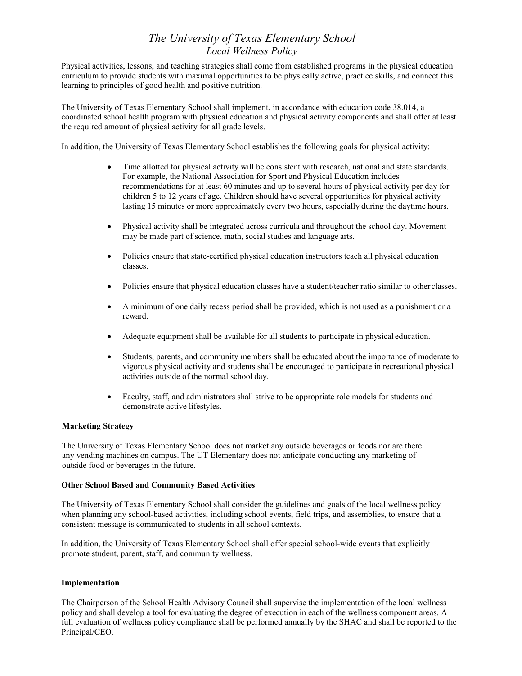Physical activities, lessons, and teaching strategies shall come from established programs in the physical education curriculum to provide students with maximal opportunities to be physically active, practice skills, and connect this learning to principles of good health and positive nutrition.

The University of Texas Elementary School shall implement, in accordance with education code 38.014, a coordinated school health program with physical education and physical activity components and shall offer at least the required amount of physical activity for all grade levels.

In addition, the University of Texas Elementary School establishes the following goals for physical activity:

- Time allotted for physical activity will be consistent with research, national and state standards. For example, the National Association for Sport and Physical Education includes recommendations for at least 60 minutes and up to several hours of physical activity per day for children 5 to 12 years of age. Children should have several opportunities for physical activity lasting 15 minutes or more approximately every two hours, especially during the daytime hours.
- Physical activity shall be integrated across curricula and throughout the school day. Movement may be made part of science, math, social studies and language arts.
- Policies ensure that state-certified physical education instructors teach all physical education classes.
- Policies ensure that physical education classes have a student/teacher ratio similar to other classes.
- A minimum of one daily recess period shall be provided, which is not used as a punishment or a reward.
- Adequate equipment shall be available for all students to participate in physical education.
- Students, parents, and community members shall be educated about the importance of moderate to vigorous physical activity and students shall be encouraged to participate in recreational physical activities outside of the normal school day.
- Faculty, staff, and administrators shall strive to be appropriate role models for students and demonstrate active lifestyles.

## **Marketing Strategy**

The University of Texas Elementary School does not market any outside beverages or foods nor are there any vending machines on campus. The UT Elementary does not anticipate conducting any marketing of outside food or beverages in the future.

#### **Other School Based and Community Based Activities**

The University of Texas Elementary School shall consider the guidelines and goals of the local wellness policy when planning any school-based activities, including school events, field trips, and assemblies, to ensure that a consistent message is communicated to students in all school contexts.

In addition, the University of Texas Elementary School shall offer special school-wide events that explicitly promote student, parent, staff, and community wellness.

#### **Implementation**

The Chairperson of the School Health Advisory Council shall supervise the implementation of the local wellness policy and shall develop a tool for evaluating the degree of execution in each of the wellness component areas. A full evaluation of wellness policy compliance shall be performed annually by the SHAC and shall be reported to the Principal/CEO.